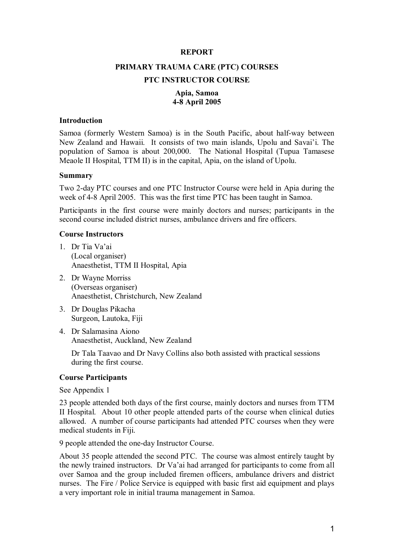#### **REPORT**

# **PRIMARY TRAUMA CARE (PTC) COURSES PTC INSTRUCTOR COURSE**

## **Apia, Samoa 48 April 2005**

#### **Introduction**

Samoa (formerly Western Samoa) is in the South Pacific, about half-way between New Zealand and Hawaii. It consists of two main islands, Upolu and Savai'i. The population of Samoa is about 200,000. The National Hospital (Tupua Tamasese Meaole II Hospital, TTM II) is in the capital, Apia, on the island of Upolu.

#### **Summary**

Two 2-day PTC courses and one PTC Instructor Course were held in Apia during the week of 4-8 April 2005. This was the first time PTC has been taught in Samoa.

Participants in the first course were mainly doctors and nurses; participants in the second course included district nurses, ambulance drivers and fire officers.

#### **Course Instructors**

- 1. Dr Tia Va'ai (Local organiser) Anaesthetist, TTM II Hospital, Apia
- 2. Dr Wayne Morriss (Overseas organiser) Anaesthetist, Christchurch, New Zealand
- 3. Dr Douglas Pikacha Surgeon, Lautoka, Fiji
- 4. Dr Salamasina Aiono Anaesthetist, Auckland, New Zealand

Dr Tala Taavao and Dr Navy Collins also both assisted with practical sessions during the first course.

#### **Course Participants**

See Appendix 1

23 people attended both days of the first course, mainly doctors and nurses from TTM II Hospital. About 10 other people attended parts of the course when clinical duties allowed. A number of course participants had attended PTC courses when they were medical students in Fiji.

9 people attended the one-day Instructor Course.

About 35 people attended the second PTC. The course was almost entirely taught by the newly trained instructors. Dr Va'ai had arranged for participants to come from all over Samoa and the group included firemen officers, ambulance drivers and district nurses. The Fire / Police Service is equipped with basic first aid equipment and plays a very important role in initial trauma management in Samoa.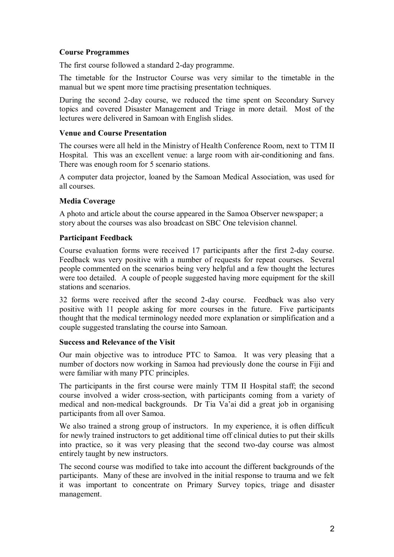# **Course Programmes**

The first course followed a standard 2-day programme.

The timetable for the Instructor Course was very similar to the timetable in the manual but we spent more time practising presentation techniques.

During the second 2-day course, we reduced the time spent on Secondary Survey topics and covered Disaster Management and Triage in more detail. Most of the lectures were delivered in Samoan with English slides.

#### **Venue and Course Presentation**

The courses were all held in the Ministry of Health Conference Room, next to TTM II Hospital. This was an excellent venue: a large room with air-conditioning and fans. There was enough room for 5 scenario stations.

A computer data projector, loaned by the Samoan Medical Association, was used for all courses.

# **Media Coverage**

A photo and article about the course appeared in the Samoa Observer newspaper; a story about the courses was also broadcast on SBC One television channel.

# **Participant Feedback**

Course evaluation forms were received 17 participants after the first 2-day course. Feedback was very positive with a number of requests for repeat courses. Several people commented on the scenarios being very helpful and a few thought the lectures were too detailed. A couple of people suggested having more equipment for the skill stations and scenarios.

32 forms were received after the second 2-day course. Feedback was also very positive with 11 people asking for more courses in the future. Five participants thought that the medical terminology needed more explanation or simplification and a couple suggested translating the course into Samoan.

#### **Success and Relevance of the Visit**

Our main objective was to introduce PTC to Samoa. It was very pleasing that a number of doctors now working in Samoa had previously done the course in Fiji and were familiar with many PTC principles.

The participants in the first course were mainly TTM II Hospital staff; the second course involved a wider cross-section, with participants coming from a variety of medical and non-medical backgrounds. Dr Tia Va'ai did a great job in organising participants from all over Samoa.

We also trained a strong group of instructors. In my experience, it is often difficult for newly trained instructors to get additional time off clinical duties to put their skills into practice, so it was very pleasing that the second two-day course was almost entirely taught by new instructors.

The second course was modified to take into account the different backgrounds of the participants. Many of these are involved in the initial response to trauma and we felt it was important to concentrate on Primary Survey topics, triage and disaster management.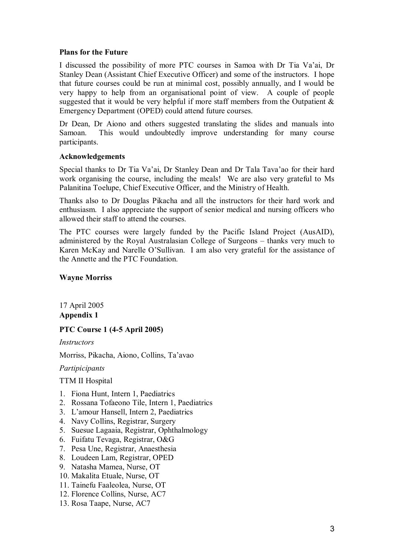#### **Plans for the Future**

I discussed the possibility of more PTC courses in Samoa with Dr Tia Va'ai, Dr Stanley Dean (Assistant Chief Executive Officer) and some of the instructors. I hope that future courses could be run at minimal cost, possibly annually, and I would be very happy to help from an organisational point of view. A couple of people suggested that it would be very helpful if more staff members from the Outpatient  $\&$ Emergency Department (OPED) could attend future courses.

Dr Dean, Dr Aiono and others suggested translating the slides and manuals into Samoan. This would undoubtedly improve understanding for many course participants.

# **Acknowledgements**

Special thanks to Dr Tia Va'ai, Dr Stanley Dean and Dr Tala Tava'ao for their hard work organising the course, including the meals! We are also very grateful to Ms Palanitina Toelupe, Chief Executive Officer, and the Ministry of Health.

Thanks also to Dr Douglas Pikacha and all the instructors for their hard work and enthusiasm. I also appreciate the support of senior medical and nursing officers who allowed their staff to attend the courses.

The PTC courses were largely funded by the Pacific Island Project (AusAID), administered by the Royal Australasian College of Surgeons – thanks very much to Karen McKay and Narelle O'Sullivan. I am also very grateful for the assistance of the Annette and the PTC Foundation.

# **Wayne Morriss**

17 April 2005 **Appendix 1** 

# **PTC Course 1 (45 April 2005)**

*Instructors*

Morriss, Pikacha, Aiono, Collins, Ta'avao

#### *Partipicipants*

TTM II Hospital

- 1. Fiona Hunt, Intern 1, Paediatrics
- 2. Rossana Tofaeono Tile, Intern 1, Paediatrics
- 3. L'amour Hansell, Intern 2, Paediatrics
- 4. Navy Collins, Registrar, Surgery
- 5. Suesue Lagaaia, Registrar, Ophthalmology
- 6. Fuifatu Tevaga, Registrar, O&G
- 7. Pesa Une, Registrar, Anaesthesia
- 8. Loudeen Lam, Registrar, OPED
- 9. Natasha Mamea, Nurse, OT
- 10. Makalita Etuale, Nurse, OT
- 11. Tainefu Faaleolea, Nurse, OT
- 12. Florence Collins, Nurse, AC7
- 13. Rosa Taape, Nurse, AC7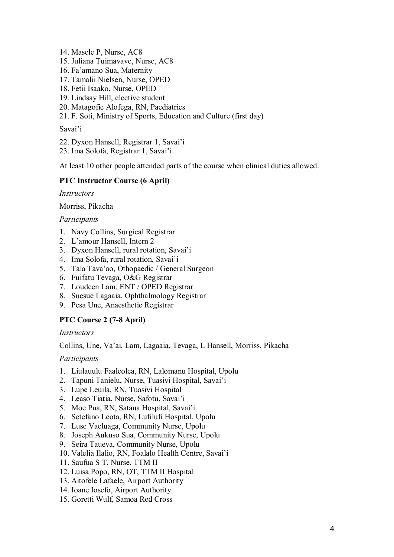- 14. Masele P, Nurse, AC8
- 15. Juliana Tuimavave, Nurse, AC8
- 16. Fa'amano Sua, Maternity
- 17. Tamalii Nielsen, Nurse, OPED
- 18. Fetii Isaako, Nurse, OPED
- 19. Lindsay Hill, elective student
- 20. Matagofie Alofega, RN, Paediatrics
- 21. F. Soti, Ministry of Sports, Education and Culture (first day)

Savai'i

- 22. Dyxon Hansell, Registrar 1, Savai'i
- 23. Ima Solofa, Registrar 1, Savai'i

At least 10 other people attended parts of the course when clinical duties allowed.

# **PTC Instructor Course (6 April)**

*Instructors*

Morriss, Pikacha

# *Participants*

- 1. Navy Collins, Surgical Registrar
- 2. L'amour Hansell, Intern 2
- 3. Dyxon Hansell, rural rotation, Savai'i
- 4. Ima Solofa, rural rotation, Savai'i
- 5. Tala Tava'ao, Othopaedic / General Surgeon
- 6. Fuifatu Tevaga, O&G Registrar
- 7. Loudeen Lam, ENT / OPED Registrar
- 8. Suesue Lagaaia, Ophthalmology Registrar
- 9. Pesa Une, Anaesthetic Registrar

# **PTC Course 2 (7-8 April)**

#### *Instructors*

Collins, Une, Va'ai, Lam, Lagaaia, Tevaga, L Hansell, Morriss, Pikacha

# *Participants*

- 1. Liulauulu Faaleolea, RN, Lalomanu Hospital, Upolu
- 2. Tapuni Tanielu, Nurse, Tuasivi Hospital, Savai'i
- 3. Lupe Leuila, RN, Tuasivi Hospital
- 4. Leaso Tiatia, Nurse, Safotu, Savai'i
- 5. Moe Pua, RN, Sataua Hospital, Savai'i
- 6. Setefano Leota, RN, Lufilufi Hospital, Upolu
- 7. Luse Vaeluaga, Community Nurse, Upolu
- 8. Joseph Aukuso Sua, Community Nurse, Upolu
- 9. Seira Taueva, Community Nurse, Upolu
- 10. Valelia Ilalio, RN, Foalalo Health Centre, Savai'i
- 11. Saufua S T, Nurse, TTM II
- 12. Luisa Popo, RN, OT, TTM II Hospital
- 13. Aitofele Lafaele, Airport Authority
- 14. Ioane Iosefo, Airport Authority
- 15. Goretti Wulf, Samoa Red Cross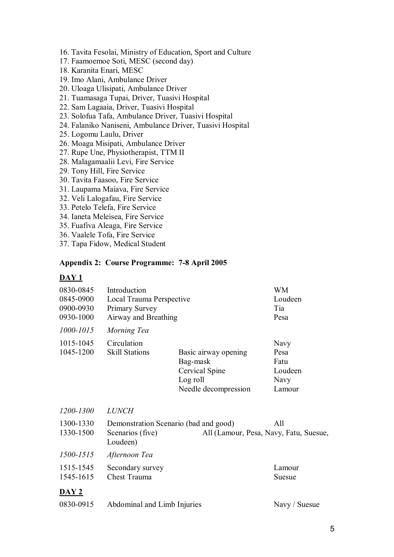- 16. Tavita Fesolai, Ministry of Education, Sport and Culture
- 17. Faamoemoe Soti, MESC (second day)
- 18. Karanita Enari, MESC
- 19. Imo Alani, Ambulance Driver
- 20. Uloaga Ulisipati, Ambulance Driver
- 21. Tuamasaga Tupai, Driver, Tuasivi Hospital
- 22. Sam Lagaaia, Driver, Tuasivi Hospital
- 23. Solofua Tafa, Ambulance Driver, Tuasivi Hospital
- 24. Falaniko Naniseni, Ambulance Driver, Tuasivi Hospital
- 25. Logomu Laulu, Driver
- 26. Moaga Misipati, Ambulance Driver
- 27. Rupe Une, Physiotherapist, TTM II
- 28. Malagamaalii Levi, Fire Service
- 29. Tony Hill, Fire Service
- 30. Tavita Faasoo, Fire Service
- 31. Laupama Maiava, Fire Service
- 32. Veli Lalogafau, Fire Service
- 33. Petelo Telefa, Fire Service
- 34. Ianeta Meleisea, Fire Service
- 35. Fuafiva Aleaga, Fire Service
- 36. Vaalele Tofa, Fire Service
- 37. Tapa Fidow, Medical Student

## **Appendix 2: Course Programme: 78 April 2005**

# **DAY 1**

| 0830-0845    | Introduction                                                           | <b>WM</b>            |               |
|--------------|------------------------------------------------------------------------|----------------------|---------------|
| 0845-0900    | Local Trauma Perspective                                               | Loudeen              |               |
| 0900-0930    | Primary Survey                                                         |                      | Tia           |
| 0930-1000    | Airway and Breathing                                                   |                      | Pesa          |
| 1000-1015    | Morning Tea                                                            |                      |               |
| 1015-1045    | Circulation                                                            |                      | Navy          |
| 1045-1200    | <b>Skill Stations</b>                                                  | Basic airway opening | Pesa          |
|              |                                                                        | Bag-mask             | Fatu          |
|              |                                                                        | Cervical Spine       | Loudeen       |
|              |                                                                        | Log roll             | Navy          |
|              |                                                                        | Needle decompression | Lamour        |
| 1200-1300    | <b>LUNCH</b>                                                           |                      |               |
| 1300-1330    | Demonstration Scenario (bad and good)<br>All                           |                      |               |
| 1330-1500    | Scenarios (five)<br>All (Lamour, Pesa, Navy, Fatu, Suesue,<br>Loudeen) |                      |               |
| 1500-1515    | Afternoon Tea                                                          |                      |               |
| 1515-1545    | Secondary survey                                                       |                      | Lamour        |
| 1545-1615    | Chest Trauma                                                           |                      | Suesue        |
| <u>DAY 2</u> |                                                                        |                      |               |
| 0830-0915    | Abdominal and Limb Injuries                                            |                      | Navy / Suesue |